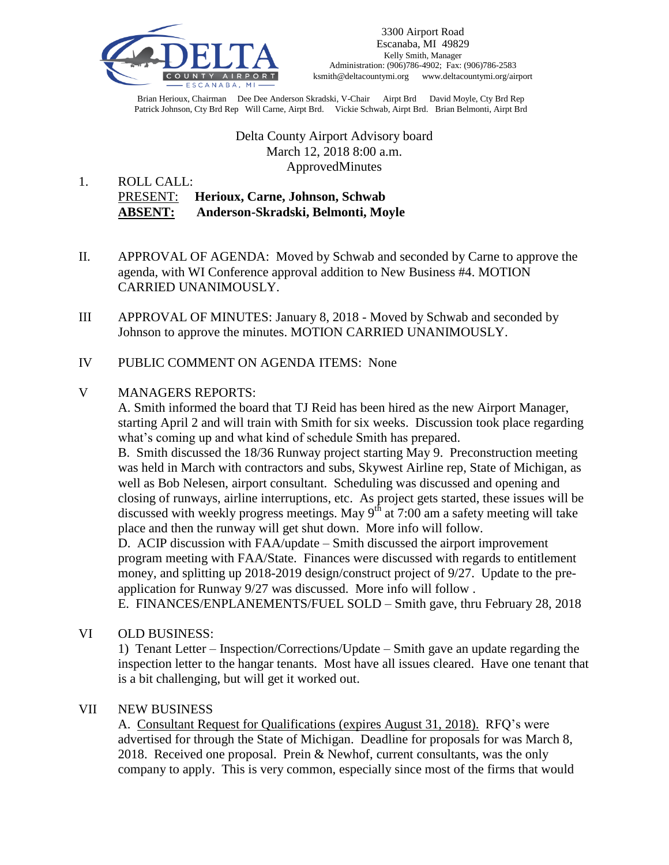

Brian Herioux, Chairman Dee Dee Anderson Skradski, V-Chair Airpt Brd David Moyle, Cty Brd Rep Patrick Johnson, Cty Brd Rep Will Carne, Airpt Brd. Vickie Schwab, Airpt Brd. Brian Belmonti, Airpt Brd

> Delta County Airport Advisory board March 12, 2018 8:00 a.m. ApprovedMinutes

1. ROLL CALL: PRESENT: **Herioux, Carne, Johnson, Schwab ABSENT: Anderson-Skradski, Belmonti, Moyle**

- II. APPROVAL OF AGENDA: Moved by Schwab and seconded by Carne to approve the agenda, with WI Conference approval addition to New Business #4. MOTION CARRIED UNANIMOUSLY.
- III APPROVAL OF MINUTES: January 8, 2018 Moved by Schwab and seconded by Johnson to approve the minutes. MOTION CARRIED UNANIMOUSLY.
- IV PUBLIC COMMENT ON AGENDA ITEMS: None

## V MANAGERS REPORTS:

A. Smith informed the board that TJ Reid has been hired as the new Airport Manager, starting April 2 and will train with Smith for six weeks. Discussion took place regarding what's coming up and what kind of schedule Smith has prepared.

B. Smith discussed the 18/36 Runway project starting May 9. Preconstruction meeting was held in March with contractors and subs, Skywest Airline rep, State of Michigan, as well as Bob Nelesen, airport consultant. Scheduling was discussed and opening and closing of runways, airline interruptions, etc. As project gets started, these issues will be discussed with weekly progress meetings. May  $9<sup>th</sup>$  at 7:00 am a safety meeting will take place and then the runway will get shut down. More info will follow.

D. ACIP discussion with FAA/update – Smith discussed the airport improvement program meeting with FAA/State. Finances were discussed with regards to entitlement money, and splitting up 2018-2019 design/construct project of 9/27. Update to the preapplication for Runway 9/27 was discussed. More info will follow .

E. FINANCES/ENPLANEMENTS/FUEL SOLD – Smith gave, thru February 28, 2018

VI OLD BUSINESS:

1) Tenant Letter – Inspection/Corrections/Update – Smith gave an update regarding the inspection letter to the hangar tenants. Most have all issues cleared. Have one tenant that is a bit challenging, but will get it worked out.

## VII NEW BUSINESS

A. Consultant Request for Qualifications (expires August 31, 2018). RFQ's were advertised for through the State of Michigan. Deadline for proposals for was March 8, 2018. Received one proposal. Prein & Newhof, current consultants, was the only company to apply. This is very common, especially since most of the firms that would